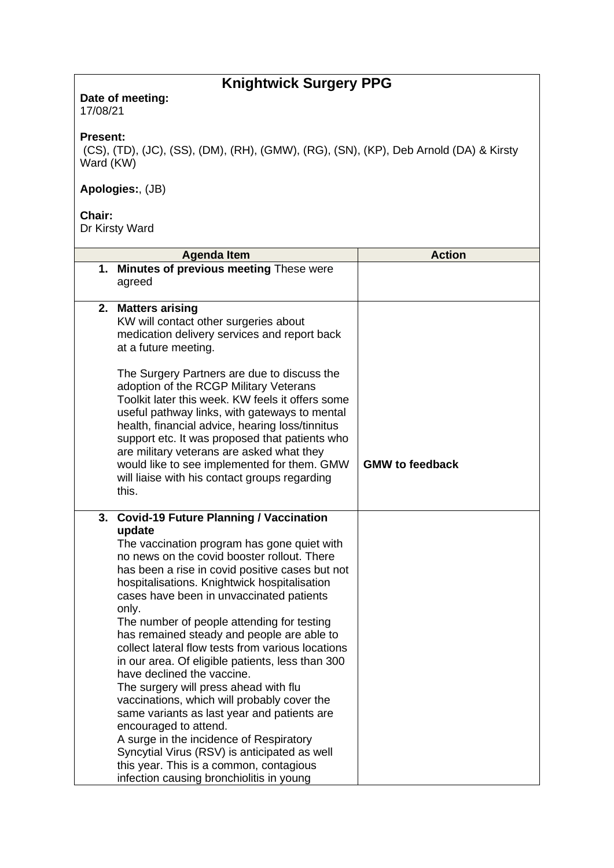## **Knightwick Surgery PPG**

**Date of meeting:**  17/08/21

## **Present:**

(CS), (TD), (JC), (SS), (DM), (RH), (GMW), (RG), (SN), (KP), Deb Arnold (DA) & Kirsty Ward (KW)

## **Apologies:**, (JB)

## **Chair:**

Dr Kirsty Ward

| <b>Agenda Item</b>                                                                                                                                                                                                                                                                                                                                                                                                                                                                                                                                                                                                                                                                                                                                                                                                                                                                             | <b>Action</b>          |
|------------------------------------------------------------------------------------------------------------------------------------------------------------------------------------------------------------------------------------------------------------------------------------------------------------------------------------------------------------------------------------------------------------------------------------------------------------------------------------------------------------------------------------------------------------------------------------------------------------------------------------------------------------------------------------------------------------------------------------------------------------------------------------------------------------------------------------------------------------------------------------------------|------------------------|
| 1. Minutes of previous meeting These were<br>agreed                                                                                                                                                                                                                                                                                                                                                                                                                                                                                                                                                                                                                                                                                                                                                                                                                                            |                        |
| 2. Matters arising<br>KW will contact other surgeries about<br>medication delivery services and report back<br>at a future meeting.                                                                                                                                                                                                                                                                                                                                                                                                                                                                                                                                                                                                                                                                                                                                                            |                        |
| The Surgery Partners are due to discuss the<br>adoption of the RCGP Military Veterans<br>Toolkit later this week. KW feels it offers some<br>useful pathway links, with gateways to mental<br>health, financial advice, hearing loss/tinnitus<br>support etc. It was proposed that patients who<br>are military veterans are asked what they<br>would like to see implemented for them. GMW<br>will liaise with his contact groups regarding<br>this.                                                                                                                                                                                                                                                                                                                                                                                                                                          | <b>GMW to feedback</b> |
| 3. Covid-19 Future Planning / Vaccination<br>update<br>The vaccination program has gone quiet with<br>no news on the covid booster rollout. There<br>has been a rise in covid positive cases but not<br>hospitalisations. Knightwick hospitalisation<br>cases have been in unvaccinated patients<br>only.<br>The number of people attending for testing<br>has remained steady and people are able to<br>collect lateral flow tests from various locations<br>in our area. Of eligible patients, less than 300<br>have declined the vaccine.<br>The surgery will press ahead with flu<br>vaccinations, which will probably cover the<br>same variants as last year and patients are<br>encouraged to attend.<br>A surge in the incidence of Respiratory<br>Syncytial Virus (RSV) is anticipated as well<br>this year. This is a common, contagious<br>infection causing bronchiolitis in young |                        |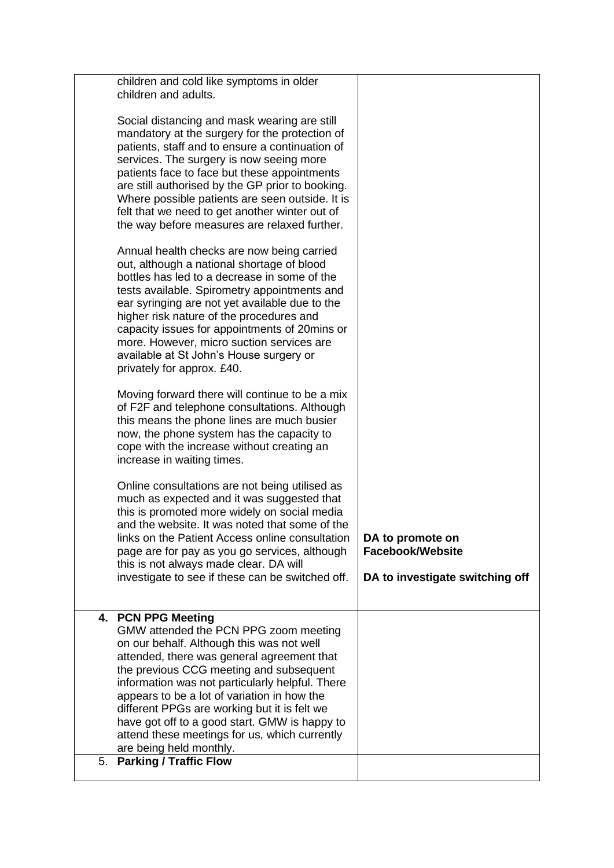| children and cold like symptoms in older<br>children and adults.                                                                                                                                                                                                                                                                                                                                                                                                                 |                                                            |
|----------------------------------------------------------------------------------------------------------------------------------------------------------------------------------------------------------------------------------------------------------------------------------------------------------------------------------------------------------------------------------------------------------------------------------------------------------------------------------|------------------------------------------------------------|
| Social distancing and mask wearing are still<br>mandatory at the surgery for the protection of<br>patients, staff and to ensure a continuation of<br>services. The surgery is now seeing more<br>patients face to face but these appointments<br>are still authorised by the GP prior to booking.<br>Where possible patients are seen outside. It is<br>felt that we need to get another winter out of<br>the way before measures are relaxed further.                           |                                                            |
| Annual health checks are now being carried<br>out, although a national shortage of blood<br>bottles has led to a decrease in some of the<br>tests available. Spirometry appointments and<br>ear syringing are not yet available due to the<br>higher risk nature of the procedures and<br>capacity issues for appointments of 20mins or<br>more. However, micro suction services are<br>available at St John's House surgery or<br>privately for approx. £40.                    |                                                            |
| Moving forward there will continue to be a mix<br>of F2F and telephone consultations. Although<br>this means the phone lines are much busier<br>now, the phone system has the capacity to<br>cope with the increase without creating an<br>increase in waiting times.                                                                                                                                                                                                            |                                                            |
| Online consultations are not being utilised as<br>much as expected and it was suggested that<br>this is promoted more widely on social media<br>and the website. It was noted that some of the<br>links on the Patient Access online consultation                                                                                                                                                                                                                                | DA to promote on                                           |
| page are for pay as you go services, although<br>this is not always made clear. DA will<br>investigate to see if these can be switched off.                                                                                                                                                                                                                                                                                                                                      | <b>Facebook/Website</b><br>DA to investigate switching off |
| 4. PCN PPG Meeting<br>GMW attended the PCN PPG zoom meeting<br>on our behalf. Although this was not well<br>attended, there was general agreement that<br>the previous CCG meeting and subsequent<br>information was not particularly helpful. There<br>appears to be a lot of variation in how the<br>different PPGs are working but it is felt we<br>have got off to a good start. GMW is happy to<br>attend these meetings for us, which currently<br>are being held monthly. |                                                            |
| <b>Parking / Traffic Flow</b><br>5.                                                                                                                                                                                                                                                                                                                                                                                                                                              |                                                            |